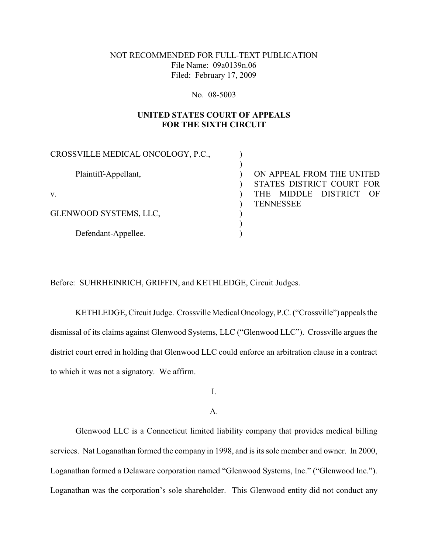## NOT RECOMMENDED FOR FULL-TEXT PUBLICATION File Name: 09a0139n.06 Filed: February 17, 2009

#### No. 08-5003

# **UNITED STATES COURT OF APPEALS FOR THE SIXTH CIRCUIT**

| CROSSVILLE MEDICAL ONCOLOGY, P.C., |                            |
|------------------------------------|----------------------------|
| Plaintiff-Appellant,               | ON APPEAL FROM THE UNITED  |
|                                    | STATES DISTRICT COURT FOR  |
| V.                                 | MIDDLE DISTRICT OF<br>THE. |
|                                    | <b>TENNESSEE</b>           |
| GLENWOOD SYSTEMS, LLC,             |                            |
|                                    |                            |
| Defendant-Appellee.                |                            |

Before: SUHRHEINRICH, GRIFFIN, and KETHLEDGE, Circuit Judges.

KETHLEDGE, Circuit Judge. Crossville Medical Oncology, P.C. ("Crossville") appeals the dismissal of its claims against Glenwood Systems, LLC ("Glenwood LLC"). Crossville argues the district court erred in holding that Glenwood LLC could enforce an arbitration clause in a contract to which it was not a signatory. We affirm.

I.

A.

Glenwood LLC is a Connecticut limited liability company that provides medical billing services. Nat Loganathan formed the company in 1998, and is its sole member and owner. In 2000, Loganathan formed a Delaware corporation named "Glenwood Systems, Inc." ("Glenwood Inc."). Loganathan was the corporation's sole shareholder. This Glenwood entity did not conduct any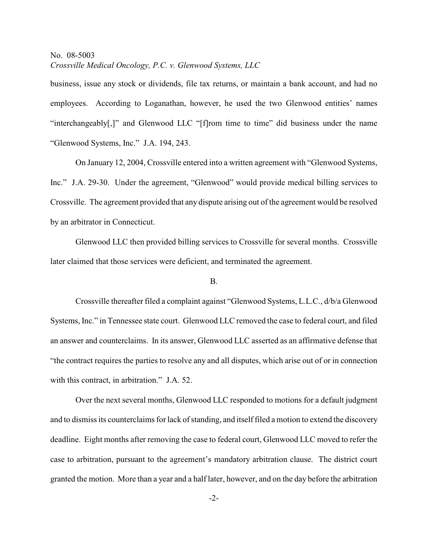business, issue any stock or dividends, file tax returns, or maintain a bank account, and had no employees. According to Loganathan, however, he used the two Glenwood entities' names "interchangeably[,]" and Glenwood LLC "[f]rom time to time" did business under the name "Glenwood Systems, Inc." J.A. 194, 243.

On January 12, 2004, Crossville entered into a written agreement with "Glenwood Systems, Inc." J.A. 29-30. Under the agreement, "Glenwood" would provide medical billing services to Crossville. The agreement provided that any dispute arising out of the agreement would be resolved by an arbitrator in Connecticut.

Glenwood LLC then provided billing services to Crossville for several months. Crossville later claimed that those services were deficient, and terminated the agreement.

#### B.

Crossville thereafter filed a complaint against "Glenwood Systems, L.L.C., d/b/a Glenwood Systems, Inc." in Tennessee state court. Glenwood LLC removed the case to federal court, and filed an answer and counterclaims. In its answer, Glenwood LLC asserted as an affirmative defense that "the contract requires the parties to resolve any and all disputes, which arise out of or in connection with this contract, in arbitration." J.A. 52.

Over the next several months, Glenwood LLC responded to motions for a default judgment and to dismissits counterclaims for lack of standing, and itself filed a motion to extend the discovery deadline. Eight months after removing the case to federal court, Glenwood LLC moved to refer the case to arbitration, pursuant to the agreement's mandatory arbitration clause. The district court granted the motion. More than a year and a half later, however, and on the day before the arbitration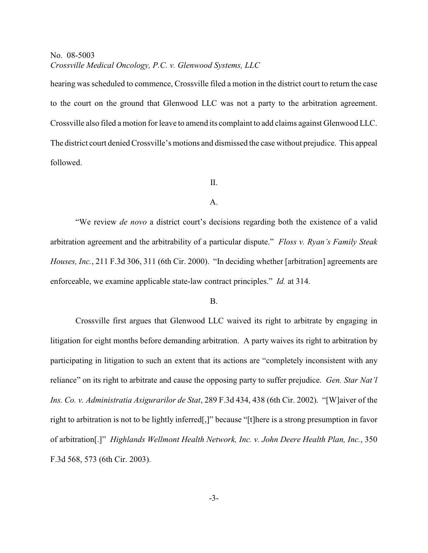hearing was scheduled to commence, Crossville filed a motion in the district court to return the case to the court on the ground that Glenwood LLC was not a party to the arbitration agreement. Crossville also filed a motion for leave to amend its complaint to add claims against Glenwood LLC. The district court denied Crossville's motions and dismissed the case without prejudice. This appeal followed.

#### II.

#### A.

"We review *de novo* a district court's decisions regarding both the existence of a valid arbitration agreement and the arbitrability of a particular dispute." *Floss v. Ryan's Family Steak Houses, Inc.*, 211 F.3d 306, 311 (6th Cir. 2000). "In deciding whether [arbitration] agreements are enforceable, we examine applicable state-law contract principles." *Id.* at 314.

### B.

Crossville first argues that Glenwood LLC waived its right to arbitrate by engaging in litigation for eight months before demanding arbitration. A party waives its right to arbitration by participating in litigation to such an extent that its actions are "completely inconsistent with any reliance" on its right to arbitrate and cause the opposing party to suffer prejudice. *Gen. Star Nat'l Ins. Co. v. Administratia Asigurarilor de Stat*, 289 F.3d 434, 438 (6th Cir. 2002). "[W]aiver of the right to arbitration is not to be lightly inferred[,]" because "[t]here is a strong presumption in favor of arbitration[.]" *Highlands Wellmont Health Network, Inc. v. John Deere Health Plan, Inc.*, 350 F.3d 568, 573 (6th Cir. 2003).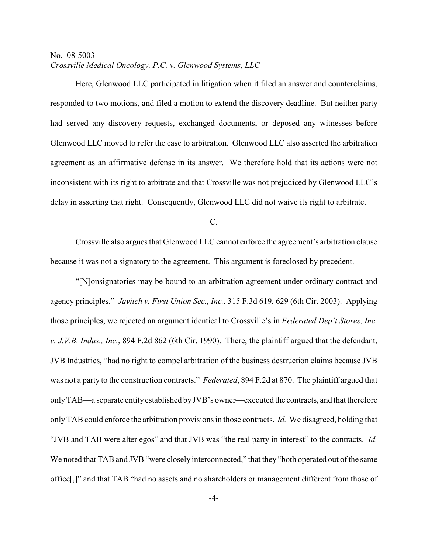Here, Glenwood LLC participated in litigation when it filed an answer and counterclaims, responded to two motions, and filed a motion to extend the discovery deadline. But neither party had served any discovery requests, exchanged documents, or deposed any witnesses before Glenwood LLC moved to refer the case to arbitration. Glenwood LLC also asserted the arbitration agreement as an affirmative defense in its answer. We therefore hold that its actions were not inconsistent with its right to arbitrate and that Crossville was not prejudiced by Glenwood LLC's delay in asserting that right. Consequently, Glenwood LLC did not waive its right to arbitrate.

C.

Crossville also argues that Glenwood LLC cannot enforce the agreement's arbitration clause because it was not a signatory to the agreement. This argument is foreclosed by precedent.

"[N]onsignatories may be bound to an arbitration agreement under ordinary contract and agency principles." *Javitch v. First Union Sec., Inc.*, 315 F.3d 619, 629 (6th Cir. 2003). Applying those principles, we rejected an argument identical to Crossville's in *Federated Dep't Stores, Inc. v. J.V.B. Indus., Inc.*, 894 F.2d 862 (6th Cir. 1990). There, the plaintiff argued that the defendant, JVB Industries, "had no right to compel arbitration of the business destruction claims because JVB was not a party to the construction contracts." *Federated*, 894 F.2d at 870. The plaintiff argued that only TAB—a separate entity established by JVB's owner—executed the contracts, and that therefore only TAB could enforce the arbitration provisions in those contracts. *Id.* We disagreed, holding that "JVB and TAB were alter egos" and that JVB was "the real party in interest" to the contracts. *Id.* We noted that TAB and JVB "were closely interconnected," that they "both operated out of the same office[,]" and that TAB "had no assets and no shareholders or management different from those of